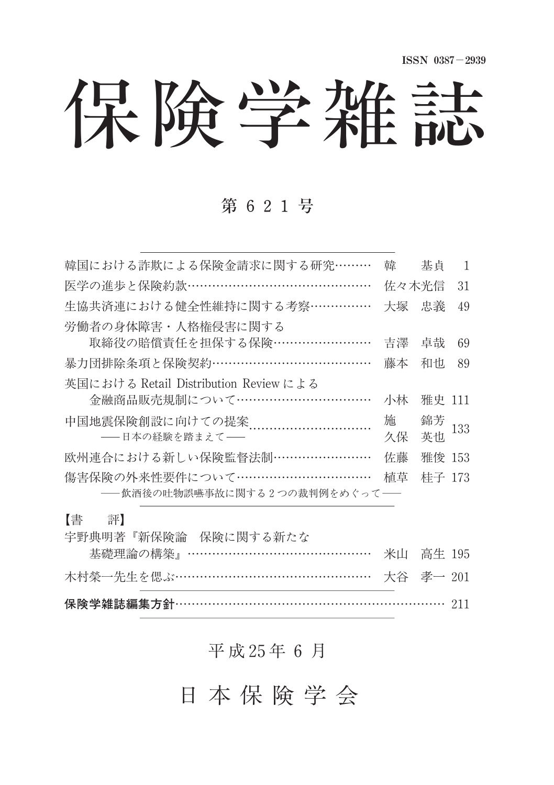保険学雑誌

## 第 621号

| 韓国における詐欺による保険金請求に関する研究………             | 韓     | 基直     | 1   |
|---------------------------------------|-------|--------|-----|
| 医学の進歩と保険約款……………………………………              | 佐々木光信 |        | 31  |
| 生協共済連における健全性維持に関する考察……………             | 大塚    | 忠義     | 49  |
| 労働者の身体障害・人格権侵害に関する                    |       |        |     |
| 取締役の賠償責任を担保する保険……………………               | 吉濹    | 卓哉     | 69  |
| 暴力団排除条項と保険契約…………………………………             | 藤本    | 和也     | 89  |
| 英国における Retail Distribution Review による |       |        |     |
| 金融商品販売規制について……………………………               | 小林    | 雅史 111 |     |
| 中国地震保険創設に向けての提案                       | 施     | 錦芳     | 133 |
| ——日本の経験を踏まえて——                        | 久保    | 英也     |     |
| 欧州連合における新しい保険監督法制……………………             | 佐藤    | 雅俊 153 |     |
| 傷害保険の外来性要件について……………………………             | 植草    | 桂子 173 |     |
| ――飲酒後の吐物誤嚥事故に関する2つの裁判例をめぐって――         |       |        |     |

### 【書 評】

|                      | 保険学雑誌編集方針………………………………………………………… 211 |  |
|----------------------|-------------------------------------|--|
|                      | 木村榮一先生を偲ぶ………………………………………… 大谷 孝一 201 |  |
|                      | 基礎理論の構築』……………………………………… 米山  高生 195  |  |
| 宇野典明著『新保険論 保険に関する新たな |                                     |  |

## 平 成 25年 6 月

日 本 保 険 学 会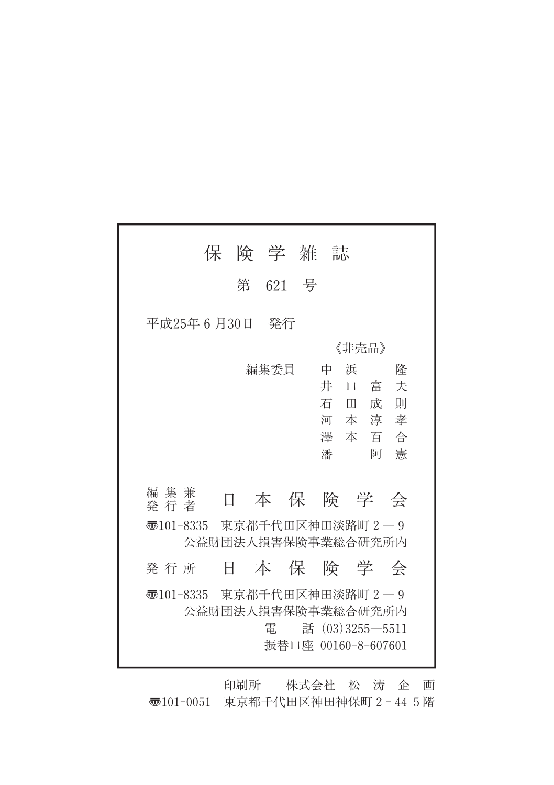|                                                     | 保 険 学 雑 誌 |         |   |                                            |    |
|-----------------------------------------------------|-----------|---------|---|--------------------------------------------|----|
|                                                     |           | 第 621 号 |   |                                            |    |
| 平成25年6月30日 発行                                       |           |         |   |                                            |    |
|                                                     |           |         |   | 《非壳品》                                      |    |
|                                                     |           | 編集委員    | 中 | 浜                                          | 降  |
|                                                     |           |         | 井 | 口富                                         | 夫  |
|                                                     |           |         |   | 石田成                                        | 一則 |
|                                                     |           |         |   | 河本淳孝<br>澤本百合                               |    |
|                                                     |           |         | 潘 | 阿                                          | 憲  |
|                                                     |           |         |   |                                            |    |
| 編集兼<br>発 行 者                                        | Ħ         |         |   | 本保険学会                                      |    |
| न्छ101-8335 東京都千代田区神田淡路町2―9<br>公益財団法人損害保険事業総合研究所内   |           |         |   |                                            |    |
| 発 行 所                                               | Ħ.        |         |   | 本保険学会                                      |    |
| 35101-8335 東京都千代田区神田淡路町 2 - 9<br>公益財団法人損害保険事業総合研究所内 |           | 雷       |   | 話 $(03)3255 - 5511$<br>振替口座 00160-8-607601 |    |

印刷所 株式会社 松 涛 企 画 〠101-0051 東京都千代田区神田神保町2-445階